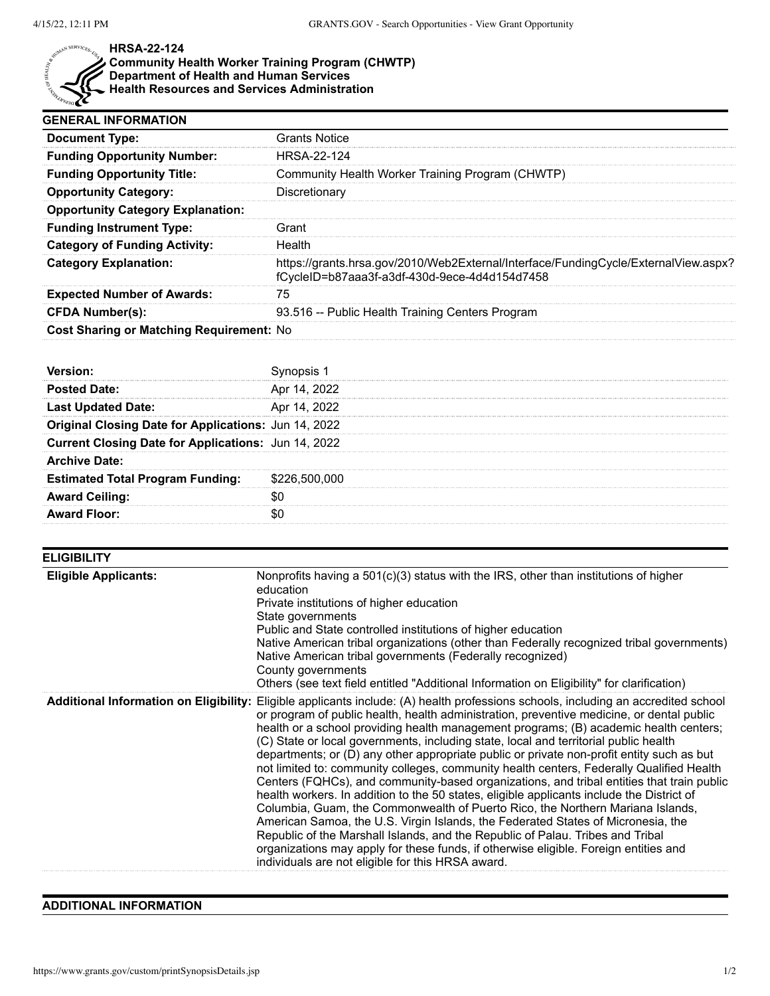

## **HRSA-22-124**

**Community Health Worker Training Program (CHWTP) Department of Health and Human Services Health Resources and Services Administration**

| <b>GENERAL INFORMATION</b>               |                                                                                                                                      |
|------------------------------------------|--------------------------------------------------------------------------------------------------------------------------------------|
| <b>Document Type:</b>                    | Grants Notice                                                                                                                        |
| <b>Funding Opportunity Number:</b>       | <b>HRSA-22-124</b>                                                                                                                   |
| <b>Funding Opportunity Title:</b>        | Community Health Worker Training Program (CHWTP)                                                                                     |
| <b>Opportunity Category:</b>             | Discretionary                                                                                                                        |
| <b>Opportunity Category Explanation:</b> |                                                                                                                                      |
| <b>Funding Instrument Type:</b>          | Grant                                                                                                                                |
| <b>Category of Funding Activity:</b>     | Health                                                                                                                               |
| <b>Category Explanation:</b>             | https://grants.hrsa.gov/2010/Web2External/Interface/FundingCycle/ExternalView.aspx?<br>fCycleID=b87aaa3f-a3df-430d-9ece-4d4d154d7458 |
| <b>Expected Number of Awards:</b>        | 75                                                                                                                                   |
| <b>CFDA Number(s):</b>                   | 93.516 -- Public Health Training Centers Program                                                                                     |
| Cost Sharing or Matching Requirement: No |                                                                                                                                      |

| red Date:                                            |           |
|------------------------------------------------------|-----------|
| .ast ∪pɑated Date:                                   |           |
| Original Closing Date for Applications: Jun 14, 2022 |           |
| Current Closing Date for Applications: Jun 14, 2022  |           |
| ìive Date:                                           |           |
| <b>Estimated Total Program Funding:</b>              | \$226,500 |
| ırd Ceiling:                                         |           |
| rd Floor:                                            |           |

| <b>ELIGIBILITY</b>          |                                                                                                                                                                                                                                                                                                                                                                                                                                                                                                                                                                                                                                                                                                                                                                                                                                                                                                                                                                                                                                                                                                                                                                                                          |
|-----------------------------|----------------------------------------------------------------------------------------------------------------------------------------------------------------------------------------------------------------------------------------------------------------------------------------------------------------------------------------------------------------------------------------------------------------------------------------------------------------------------------------------------------------------------------------------------------------------------------------------------------------------------------------------------------------------------------------------------------------------------------------------------------------------------------------------------------------------------------------------------------------------------------------------------------------------------------------------------------------------------------------------------------------------------------------------------------------------------------------------------------------------------------------------------------------------------------------------------------|
| <b>Eligible Applicants:</b> | Nonprofits having a $501(c)(3)$ status with the IRS, other than institutions of higher<br>education<br>Private institutions of higher education<br>State governments<br>Public and State controlled institutions of higher education<br>Native American tribal organizations (other than Federally recognized tribal governments)<br>Native American tribal governments (Federally recognized)<br>County governments<br>Others (see text field entitled "Additional Information on Eligibility" for clarification)                                                                                                                                                                                                                                                                                                                                                                                                                                                                                                                                                                                                                                                                                       |
|                             | Additional Information on Eligibility: Eligible applicants include: (A) health professions schools, including an accredited school<br>or program of public health, health administration, preventive medicine, or dental public<br>health or a school providing health management programs; (B) academic health centers;<br>(C) State or local governments, including state, local and territorial public health<br>departments; or (D) any other appropriate public or private non-profit entity such as but<br>not limited to: community colleges, community health centers, Federally Qualified Health<br>Centers (FQHCs), and community-based organizations, and tribal entities that train public<br>health workers. In addition to the 50 states, eligible applicants include the District of<br>Columbia, Guam, the Commonwealth of Puerto Rico, the Northern Mariana Islands,<br>American Samoa, the U.S. Virgin Islands, the Federated States of Micronesia, the<br>Republic of the Marshall Islands, and the Republic of Palau. Tribes and Tribal<br>organizations may apply for these funds, if otherwise eligible. Foreign entities and<br>individuals are not eligible for this HRSA award. |

## **ADDITIONAL INFORMATION**